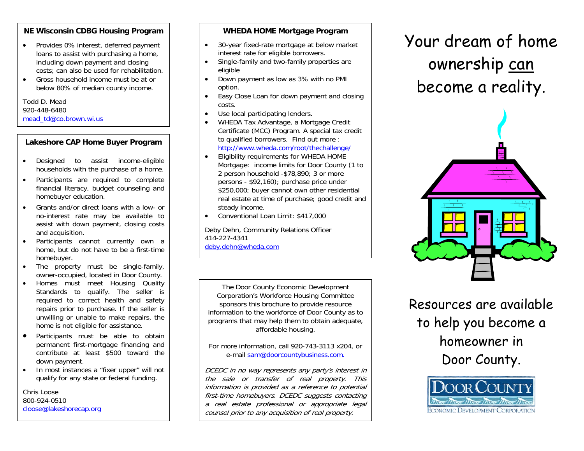# **NE Wisconsin CDBG Housing Program**

- Provides 0% interest, deferred payment loans to assist with purchasing a home, including down payment and closing costs; can also be used for rehabilitation.
- • Gross household income must be at or below 80% of median county income.

Todd D. Mead 920-448-6480 [mead\\_td@co.brown.wi.us](mailto:mead_td@co.brown.wi.us)

# **Lakeshore CAP Home Buyer Program**

- $\bullet$  Designed to assist income-eligible households with the purchase of a home.
- • Participants are required to complete financial literacy, budget counseling and homebuyer education.
- • Grants and/or direct loans with a low- or no-interest rate may be available to assist with down payment, closing costs and acquisition.
- • Participants cannot currently own a home, but do not have to be a first-time homebuyer.
- • The property must be single-family, owner-occupied, located in Door County.
- • Homes must meet Housing Quality Standards to qualify. The seller is required to correct health and safety repairs prior to purchase. If the seller is unwilling or unable to make repairs, the home is not eligible for assistance.
- • Participants must be able to obtain permanent first-mortgage financing and contribute at least \$500 toward the down payment.
- • In most instances a "fixer upper" will not qualify for any state or federal funding.

Chris Loose 800-924-0510 [cloose@lakeshorecap.org](mailto:cloose@lakeshorecap.org)

#### **WHEDA HOME Mortgage Program**

- • 30-year fixed-rate mortgage at below market interest rate for eligible borrowers.
- • Single-family and two-family properties are eligible
- • Down payment as low as 3% with no PMI option.
- • Easy Close Loan for down payment and closing costs.
- •Use local participating lenders.
- • WHEDA Tax Advantage, a Mortgage Credit Certificate (MCC) Program. A special tax credit to qualified borrowers. Find out more : <http://www.wheda.com/root/thechallenge/>
- • Eligibility requirements for WHEDA HOME Mortgage: income limits for Door County (1 to 2 person household -\$78,890; 3 or more persons - \$92,160); purchase price under \$250,000; buyer cannot own other residential real estate at time of purchase; good credit and steady income.
- •Conventional Loan Limit: \$417,000

Deby Dehn, Community Relations Officer 414-227-4341 [deby.dehn@wheda.com](mailto:deby.dehn@wheda.com)

The Door County Economic Development Corporation's Workforce Housing Committee sponsors this brochure to provide resource information to the workforce of Door County as to programs that may help them to obtain adequate, affordable housing.

For more information, call 920-743-3113 x204, or e-mail [sam@doorcountybusiness.com](mailto:sam@doorcountybusiness.com).

DCEDC in no way represents any party's interest in the sale or transfer of real property. This information is provided as a reference to potential first-time homebuyers. DCEDC suggests contacting a real estate professional or appropriate legal counsel prior to any acquisition of real property.

Your dream of home ownership can become a reality.



Resources are available to help you become a homeowner in Door County.